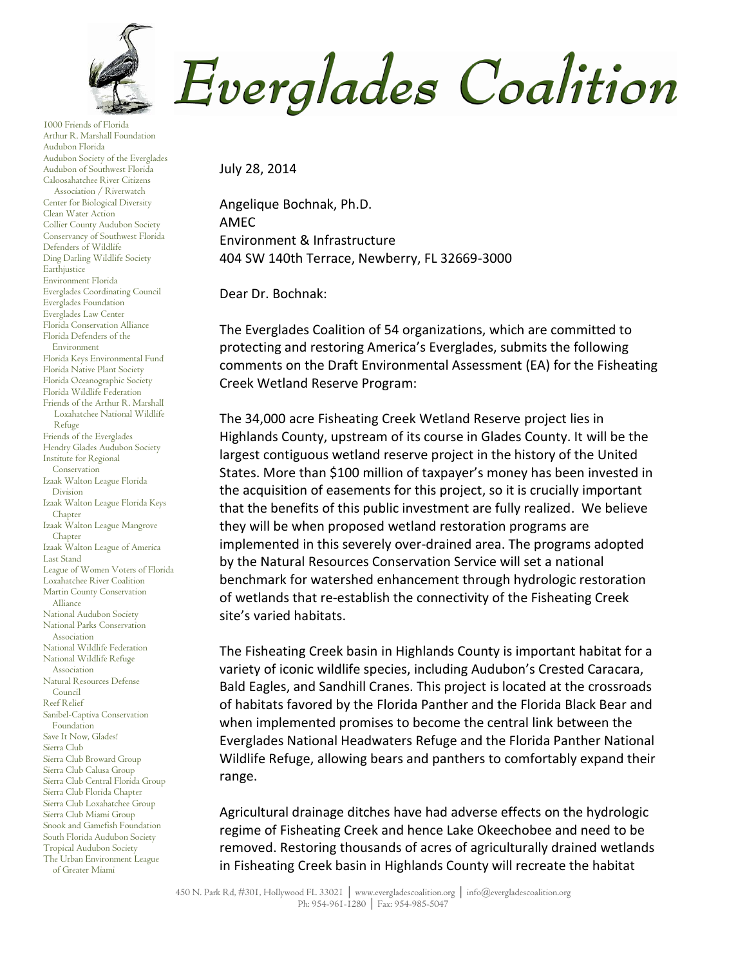

1000 Friends of Florida Arthur R. Marshall Foundation Audubon Florida Audubon Society of the Everglades Audubon of Southwest Florida Caloosahatchee River Citizens Association / Riverwatch Center for Biological Diversity Clean Water Action Collier County Audubon Society Conservancy of Southwest Florida Defenders of Wildlife Ding Darling Wildlife Society Earthjustice Environment Florida Everglades Coordinating Council Everglades Foundation Everglades Law Center Florida Conservation Alliance Florida Defenders of the Environment Florida Keys Environmental Fund Florida Native Plant Society Florida Oceanographic Society Florida Wildlife Federation Friends of the Arthur R. Marshall Loxahatchee National Wildlife Refuge Friends of the Everglades Hendry Glades Audubon Society Institute for Regional Conservation Izaak Walton League Florida Division Izaak Walton League Florida Keys Chapter Izaak Walton League Mangrove Chapter Izaak Walton League of America Last Stand League of Women Voters of Florida Loxahatchee River Coalition Martin County Conservation Alliance National Audubon Society National Parks Conservation Association National Wildlife Federation National Wildlife Refuge Association Natural Resources Defense Council Reef Relief Sanibel-Captiva Conservation Foundation Save It Now, Glades! Sierra Club Sierra Club Broward Group Sierra Club Calusa Group Sierra Club Central Florida Group Sierra Club Florida Chapter Sierra Club Loxahatchee Group Sierra Club Miami Group Snook and Gamefish Foundation South Florida Audubon Society Tropical Audubon Society The Urban Environment League of Greater Miami

Everglades Coalition

July 28, 2014

Angelique Bochnak, Ph.D. AMEC Environment & Infrastructure 404 SW 140th Terrace, Newberry, FL 32669-3000

Dear Dr. Bochnak:

The Everglades Coalition of 54 organizations, which are committed to protecting and restoring America's Everglades, submits the following comments on the Draft Environmental Assessment (EA) for the Fisheating Creek Wetland Reserve Program:

The 34,000 acre Fisheating Creek Wetland Reserve project lies in Highlands County, upstream of its course in Glades County. It will be the largest contiguous wetland reserve project in the history of the United States. More than \$100 million of taxpayer's money has been invested in the acquisition of easements for this project, so it is crucially important that the benefits of this public investment are fully realized. We believe they will be when proposed wetland restoration programs are implemented in this severely over-drained area. The programs adopted by the Natural Resources Conservation Service will set a national benchmark for watershed enhancement through hydrologic restoration of wetlands that re-establish the connectivity of the Fisheating Creek site's varied habitats.

The Fisheating Creek basin in Highlands County is important habitat for a variety of iconic wildlife species, including Audubon's Crested Caracara, Bald Eagles, and Sandhill Cranes. This project is located at the crossroads of habitats favored by the Florida Panther and the Florida Black Bear and when implemented promises to become the central link between the Everglades National Headwaters Refuge and the Florida Panther National Wildlife Refuge, allowing bears and panthers to comfortably expand their range.

Agricultural drainage ditches have had adverse effects on the hydrologic regime of Fisheating Creek and hence Lake Okeechobee and need to be removed. Restoring thousands of acres of agriculturally drained wetlands in Fisheating Creek basin in Highlands County will recreate the habitat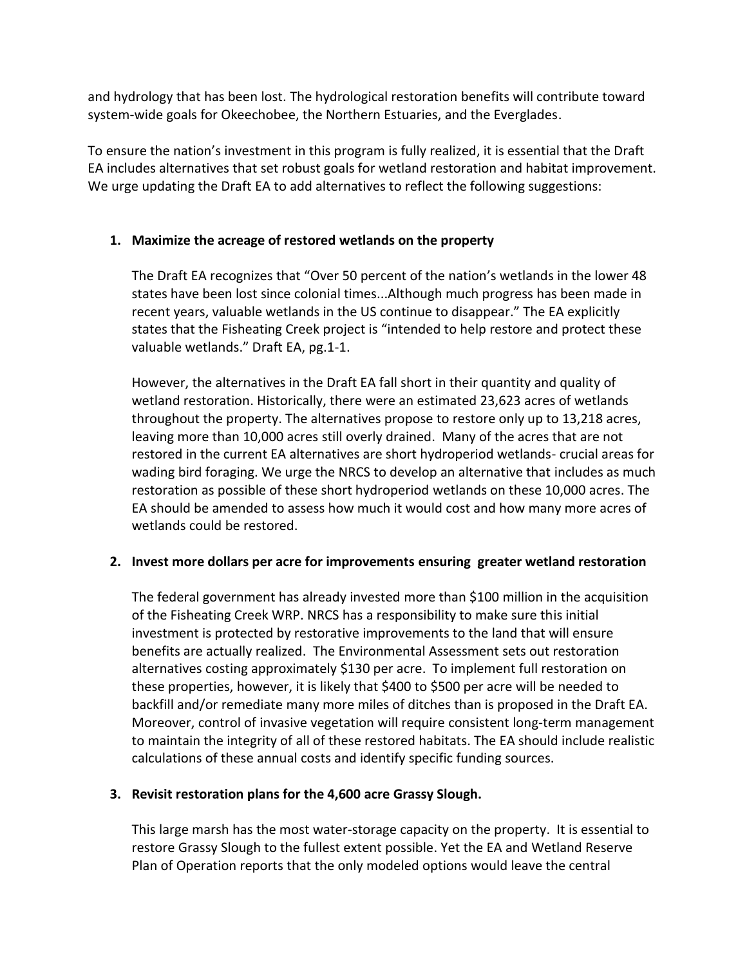and hydrology that has been lost. The hydrological restoration benefits will contribute toward system-wide goals for Okeechobee, the Northern Estuaries, and the Everglades.

To ensure the nation's investment in this program is fully realized, it is essential that the Draft EA includes alternatives that set robust goals for wetland restoration and habitat improvement. We urge updating the Draft EA to add alternatives to reflect the following suggestions:

## **1. Maximize the acreage of restored wetlands on the property**

The Draft EA recognizes that "Over 50 percent of the nation's wetlands in the lower 48 states have been lost since colonial times...Although much progress has been made in recent years, valuable wetlands in the US continue to disappear." The EA explicitly states that the Fisheating Creek project is "intended to help restore and protect these valuable wetlands." Draft EA, pg.1-1.

However, the alternatives in the Draft EA fall short in their quantity and quality of wetland restoration. Historically, there were an estimated 23,623 acres of wetlands throughout the property. The alternatives propose to restore only up to 13,218 acres, leaving more than 10,000 acres still overly drained. Many of the acres that are not restored in the current EA alternatives are short hydroperiod wetlands- crucial areas for wading bird foraging. We urge the NRCS to develop an alternative that includes as much restoration as possible of these short hydroperiod wetlands on these 10,000 acres. The EA should be amended to assess how much it would cost and how many more acres of wetlands could be restored.

## **2. Invest more dollars per acre for improvements ensuring greater wetland restoration**

The federal government has already invested more than \$100 million in the acquisition of the Fisheating Creek WRP. NRCS has a responsibility to make sure this initial investment is protected by restorative improvements to the land that will ensure benefits are actually realized. The Environmental Assessment sets out restoration alternatives costing approximately \$130 per acre. To implement full restoration on these properties, however, it is likely that \$400 to \$500 per acre will be needed to backfill and/or remediate many more miles of ditches than is proposed in the Draft EA. Moreover, control of invasive vegetation will require consistent long-term management to maintain the integrity of all of these restored habitats. The EA should include realistic calculations of these annual costs and identify specific funding sources.

## **3. Revisit restoration plans for the 4,600 acre Grassy Slough.**

This large marsh has the most water-storage capacity on the property. It is essential to restore Grassy Slough to the fullest extent possible. Yet the EA and Wetland Reserve Plan of Operation reports that the only modeled options would leave the central